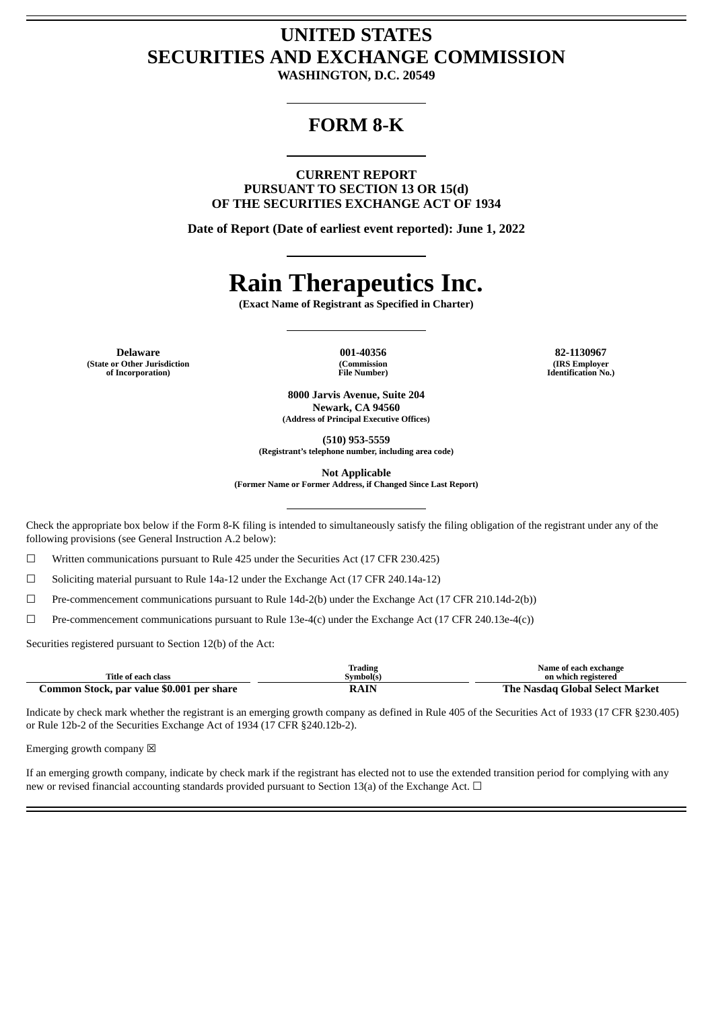## **UNITED STATES SECURITIES AND EXCHANGE COMMISSION**

**WASHINGTON, D.C. 20549**

## **FORM 8-K**

**CURRENT REPORT PURSUANT TO SECTION 13 OR 15(d) OF THE SECURITIES EXCHANGE ACT OF 1934**

**Date of Report (Date of earliest event reported): June 1, 2022**

## **Rain Therapeutics Inc.**

**(Exact Name of Registrant as Specified in Charter)**

**Delaware 001-40356 82-1130967 (State or Other Jurisdiction of Incorporation)**

**(Commission File Number)**

**(IRS Employer Identification No.)**

**8000 Jarvis Avenue, Suite 204 Newark, CA 94560 (Address of Principal Executive Offices)**

**(510) 953-5559**

**(Registrant's telephone number, including area code)**

**Not Applicable**

**(Former Name or Former Address, if Changed Since Last Report)**

Check the appropriate box below if the Form 8-K filing is intended to simultaneously satisfy the filing obligation of the registrant under any of the following provisions (see General Instruction A.2 below):

 $\Box$  Written communications pursuant to Rule 425 under the Securities Act (17 CFR 230.425)

☐ Soliciting material pursuant to Rule 14a-12 under the Exchange Act (17 CFR 240.14a-12)

 $\Box$  Pre-commencement communications pursuant to Rule 14d-2(b) under the Exchange Act (17 CFR 210.14d-2(b))

☐ Pre-commencement communications pursuant to Rule 13e-4(c) under the Exchange Act (17 CFR 240.13e-4(c))

Securities registered pursuant to Section 12(b) of the Act:

| Title of each class                       | Trading<br>Svmbol(s) | Name of each exchange<br>on which registered |  |
|-------------------------------------------|----------------------|----------------------------------------------|--|
|                                           |                      |                                              |  |
| Common Stock, par value \$0.001 per share | <b>RAIN</b>          | The Nasdag Global Select Market              |  |

Indicate by check mark whether the registrant is an emerging growth company as defined in Rule 405 of the Securities Act of 1933 (17 CFR §230.405) or Rule 12b-2 of the Securities Exchange Act of 1934 (17 CFR §240.12b-2).

Emerging growth company  $\boxtimes$ 

If an emerging growth company, indicate by check mark if the registrant has elected not to use the extended transition period for complying with any new or revised financial accounting standards provided pursuant to Section 13(a) of the Exchange Act.  $\Box$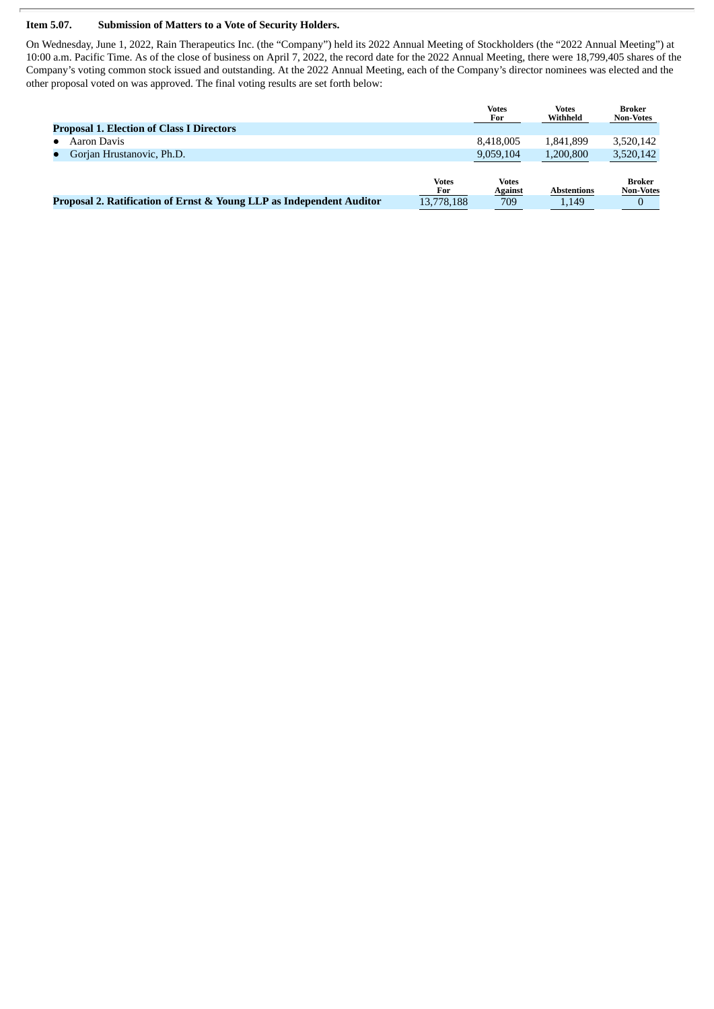## **Item 5.07. Submission of Matters to a Vote of Security Holders.**

On Wednesday, June 1, 2022, Rain Therapeutics Inc. (the "Company") held its 2022 Annual Meeting of Stockholders (the "2022 Annual Meeting") at 10:00 a.m. Pacific Time. As of the close of business on April 7, 2022, the record date for the 2022 Annual Meeting, there were 18,799,405 shares of the Company's voting common stock issued and outstanding. At the 2022 Annual Meeting, each of the Company's director nominees was elected and the other proposal voted on was approved. The final voting results are set forth below:

|                                                                      |              | <b>Votes</b><br>For | <b>Votes</b><br>Withheld | Broker<br><b>Non-Votes</b> |
|----------------------------------------------------------------------|--------------|---------------------|--------------------------|----------------------------|
| <b>Proposal 1. Election of Class I Directors</b>                     |              |                     |                          |                            |
| Aaron Davis                                                          |              | 8.418.005           | 1.841.899                | 3,520,142                  |
| Gorian Hrustanovic, Ph.D.                                            |              | 9,059,104           | 1.200.800                | 3,520,142                  |
|                                                                      |              |                     |                          |                            |
|                                                                      | <b>Votes</b> | <b>Votes</b>        |                          | <b>Broker</b>              |
|                                                                      | For          | <b>Against</b>      | <b>Abstentions</b>       | <b>Non-Votes</b>           |
| Proposal 2. Ratification of Ernst & Young LLP as Independent Auditor | 13,778,188   | 709                 | 1.149                    |                            |